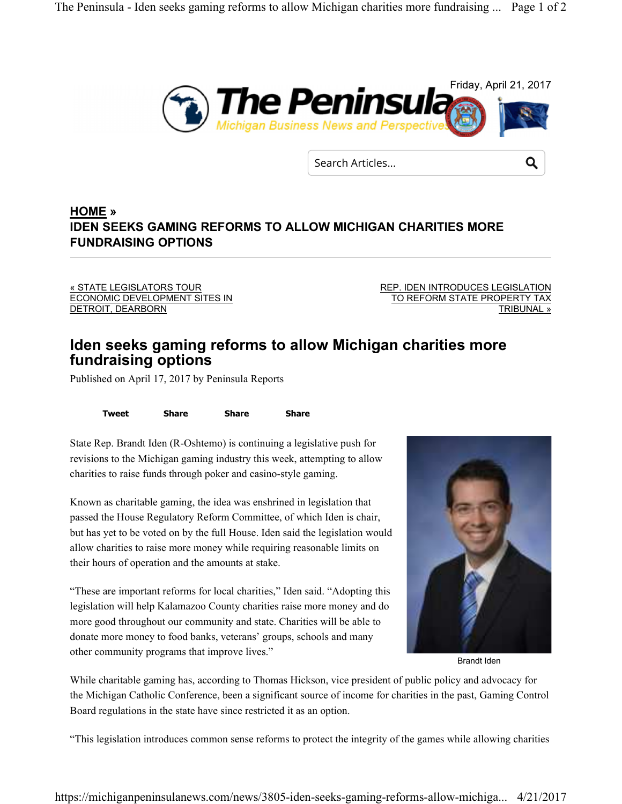

Search Articles...

**HOME » IDEN SEEKS GAMING REFORMS TO ALLOW MICHIGAN CHARITIES MORE FUNDRAISING OPTIONS**

« STATE LEGISLATORS TOUR ECONOMIC DEVELOPMENT SITES IN DETROIT, DEARBORN

REP. IDEN INTRODUCES LEGISLATION TO REFORM STATE PROPERTY TAX TRIBUNAL »

Q

## **Iden seeks gaming reforms to allow Michigan charities more fundraising options**

Published on April 17, 2017 by Peninsula Reports

**Tweet Share Share Share**

State Rep. Brandt Iden (R-Oshtemo) is continuing a legislative push for revisions to the Michigan gaming industry this week, attempting to allow charities to raise funds through poker and casino-style gaming.

Known as charitable gaming, the idea was enshrined in legislation that passed the House Regulatory Reform Committee, of which Iden is chair, but has yet to be voted on by the full House. Iden said the legislation would allow charities to raise more money while requiring reasonable limits on their hours of operation and the amounts at stake.

"These are important reforms for local charities," Iden said. "Adopting this legislation will help Kalamazoo County charities raise more money and do more good throughout our community and state. Charities will be able to donate more money to food banks, veterans' groups, schools and many other community programs that improve lives."



Brandt Iden

While charitable gaming has, according to Thomas Hickson, vice president of public policy and advocacy for the Michigan Catholic Conference, been a significant source of income for charities in the past, Gaming Control Board regulations in the state have since restricted it as an option.

"This legislation introduces common sense reforms to protect the integrity of the games while allowing charities